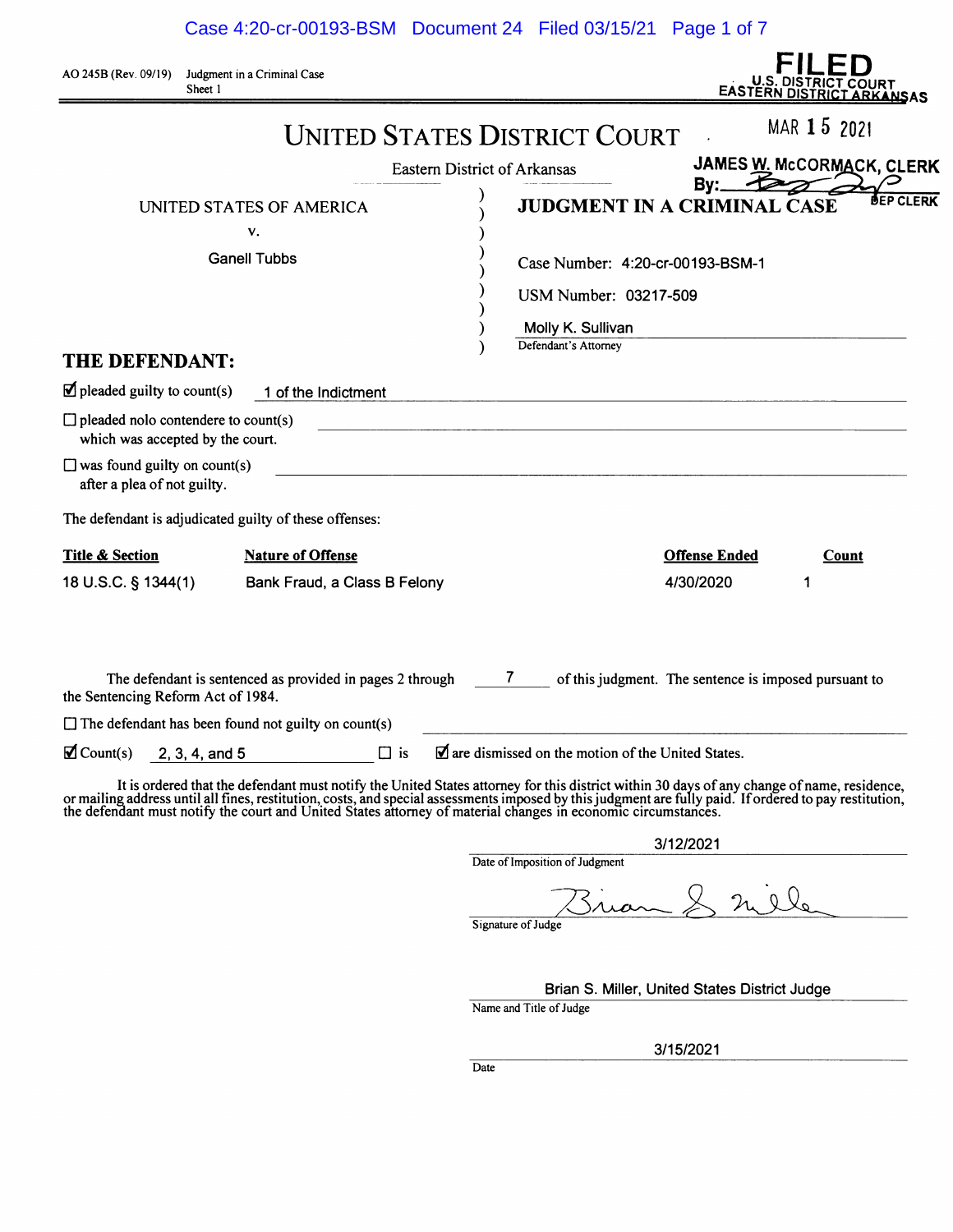Case 4:20-cr-00193-BSM Document 24 Filed 03/15/21 Page 1 of 7

AO 245B (Rev. 09/19) Judgment in a Criminal Case Sheet I

| U.S. DISTRICT COURT<br><b>EASTERN DISTRICT ARKANSAS</b> |  |
|---------------------------------------------------------|--|

|                                                                                | <b>UNITED STATES DISTRICT COURT</b>                                                                                                                                                                                            |                                                                        |                                                       | MAR 15 2021 |                |
|--------------------------------------------------------------------------------|--------------------------------------------------------------------------------------------------------------------------------------------------------------------------------------------------------------------------------|------------------------------------------------------------------------|-------------------------------------------------------|-------------|----------------|
|                                                                                |                                                                                                                                                                                                                                | <b>Eastern District of Arkansas</b>                                    | JAMES W. McCORMACK, CLERK                             |             |                |
|                                                                                | UNITED STATES OF AMERICA<br>v.<br><b>Ganell Tubbs</b>                                                                                                                                                                          | <b>JUDGMENT IN A CRIMINAL CASE</b><br>Case Number: 4:20-cr-00193-BSM-1 | By: $\overline{\mathcal{L}}$                          |             | <b>P CLERK</b> |
| THE DEFENDANT:                                                                 |                                                                                                                                                                                                                                | USM Number: 03217-509<br>Molly K. Sullivan<br>Defendant's Attorney     |                                                       |             |                |
| $\blacksquare$ pleaded guilty to count(s)                                      | 1 of the Indictment                                                                                                                                                                                                            |                                                                        |                                                       |             |                |
| $\Box$ pleaded nolo contendere to count(s)<br>which was accepted by the court. |                                                                                                                                                                                                                                |                                                                        |                                                       |             |                |
| $\Box$ was found guilty on count(s)<br>after a plea of not guilty.             |                                                                                                                                                                                                                                |                                                                        |                                                       |             |                |
| The defendant is adjudicated guilty of these offenses:                         |                                                                                                                                                                                                                                |                                                                        |                                                       |             |                |
| <b>Title &amp; Section</b><br>18 U.S.C. § 1344(1)                              | <b>Nature of Offense</b><br>Bank Fraud, a Class B Felony                                                                                                                                                                       |                                                                        | <b>Offense Ended</b><br>4/30/2020                     | Count<br>1  |                |
| the Sentencing Reform Act of 1984.                                             | The defendant is sentenced as provided in pages 2 through 7                                                                                                                                                                    |                                                                        | of this judgment. The sentence is imposed pursuant to |             |                |
| $\Box$ The defendant has been found not guilty on count(s)                     |                                                                                                                                                                                                                                |                                                                        |                                                       |             |                |
| $\blacksquare$ Count(s)<br>$2, 3, 4,$ and 5                                    | $\Box$ is                                                                                                                                                                                                                      | $\blacksquare$ are dismissed on the motion of the United States.       |                                                       |             |                |
|                                                                                | It is ordered that the defendant must notify the United States attorney for this district within 30 days of any change of name, residence, or mailing address until all fines, restitution, costs, and special assessments imp |                                                                        |                                                       |             |                |
|                                                                                |                                                                                                                                                                                                                                |                                                                        | 3/12/2021                                             |             |                |

Date of Imposition of Judgment

.<br>Ile  $2a$ 

Signature of Judge

Brian S. Miller, United States District Judge

Name and Title of Judge

3/15/2021

**Date**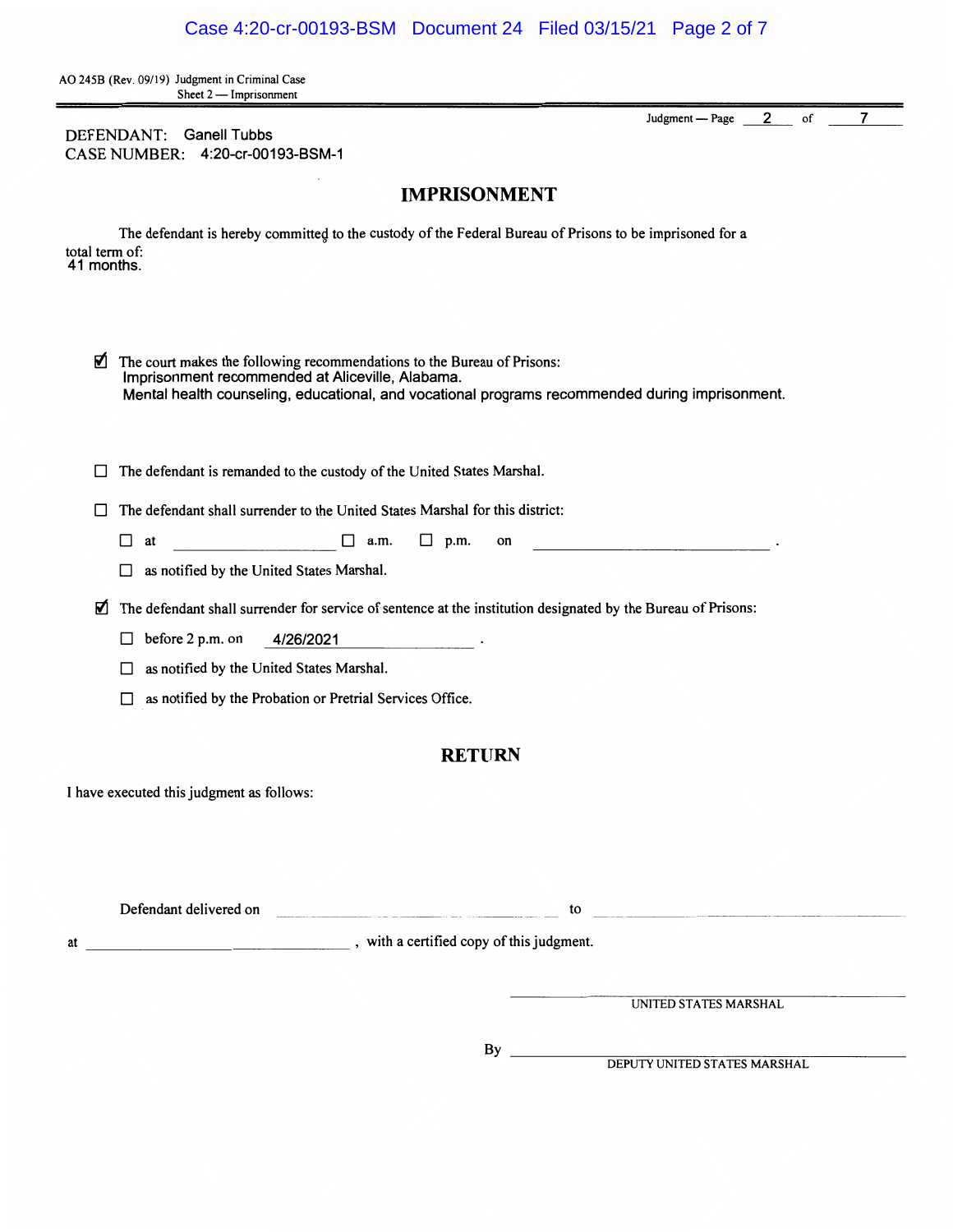AO 245B (Rev. 09/19) Judgment in Criminal Case Sheet  $2$  - Imprisonment

DEFENDANT: Ganell Tubbs CASE NUMBER: 4:20-cr-00193-BSM-1 Judgment - Page --- 2 of 7

# **IMPRISONMENT**

The defendant is hereby committed to the custody of the Federal Bureau of Prisons to be imprisoned for a total term of: 41 months.

| Ń  | The court makes the following recommendations to the Bureau of Prisons:<br>Imprisonment recommended at Aliceville, Alabama.<br>Mental health counseling, educational, and vocational programs recommended during imprisonment. |                                                                                                                                                                                                                                                                                                         |  |  |
|----|--------------------------------------------------------------------------------------------------------------------------------------------------------------------------------------------------------------------------------|---------------------------------------------------------------------------------------------------------------------------------------------------------------------------------------------------------------------------------------------------------------------------------------------------------|--|--|
| П  | The defendant is remanded to the custody of the United States Marshal.                                                                                                                                                         |                                                                                                                                                                                                                                                                                                         |  |  |
|    | The defendant shall surrender to the United States Marshal for this district:                                                                                                                                                  |                                                                                                                                                                                                                                                                                                         |  |  |
|    | $\Box$ a.m.<br>$\Box$ p.m.<br>$\Box$<br>at<br>on                                                                                                                                                                               | the contract of the contract of the contract of the contract of the contract of                                                                                                                                                                                                                         |  |  |
|    | $\Box$ as notified by the United States Marshal.                                                                                                                                                                               |                                                                                                                                                                                                                                                                                                         |  |  |
| M  | The defendant shall surrender for service of sentence at the institution designated by the Bureau of Prisons:                                                                                                                  |                                                                                                                                                                                                                                                                                                         |  |  |
|    | before 2 p.m. on<br>4/26/2021<br>$\Box$<br><u> 1989 - Johann Barbara, politik politik (</u> † 1920)                                                                                                                            |                                                                                                                                                                                                                                                                                                         |  |  |
|    | $\Box$ as notified by the United States Marshal.                                                                                                                                                                               |                                                                                                                                                                                                                                                                                                         |  |  |
|    | as notified by the Probation or Pretrial Services Office.<br>$\Box$                                                                                                                                                            |                                                                                                                                                                                                                                                                                                         |  |  |
|    | <b>RETURN</b><br>I have executed this judgment as follows:                                                                                                                                                                     |                                                                                                                                                                                                                                                                                                         |  |  |
| at | with a certified copy of this judgment.                                                                                                                                                                                        | $\mathfrak{g}$ to the contract of $\mathfrak{g}$ and $\mathfrak{g}$ and $\mathfrak{g}$ and $\mathfrak{g}$ and $\mathfrak{g}$ and $\mathfrak{g}$ and $\mathfrak{g}$ and $\mathfrak{g}$ and $\mathfrak{g}$ and $\mathfrak{g}$ and $\mathfrak{g}$ and $\mathfrak{g}$ and $\mathfrak{g}$ and $\mathfrak{g}$ |  |  |
|    |                                                                                                                                                                                                                                | UNITED STATES MARSHAL                                                                                                                                                                                                                                                                                   |  |  |

By \_\_\_\_\_\_\_\_\_\_\_\_\_\_\_\_\_\_\_\_DEPUTY UNITED STATES MARSHAL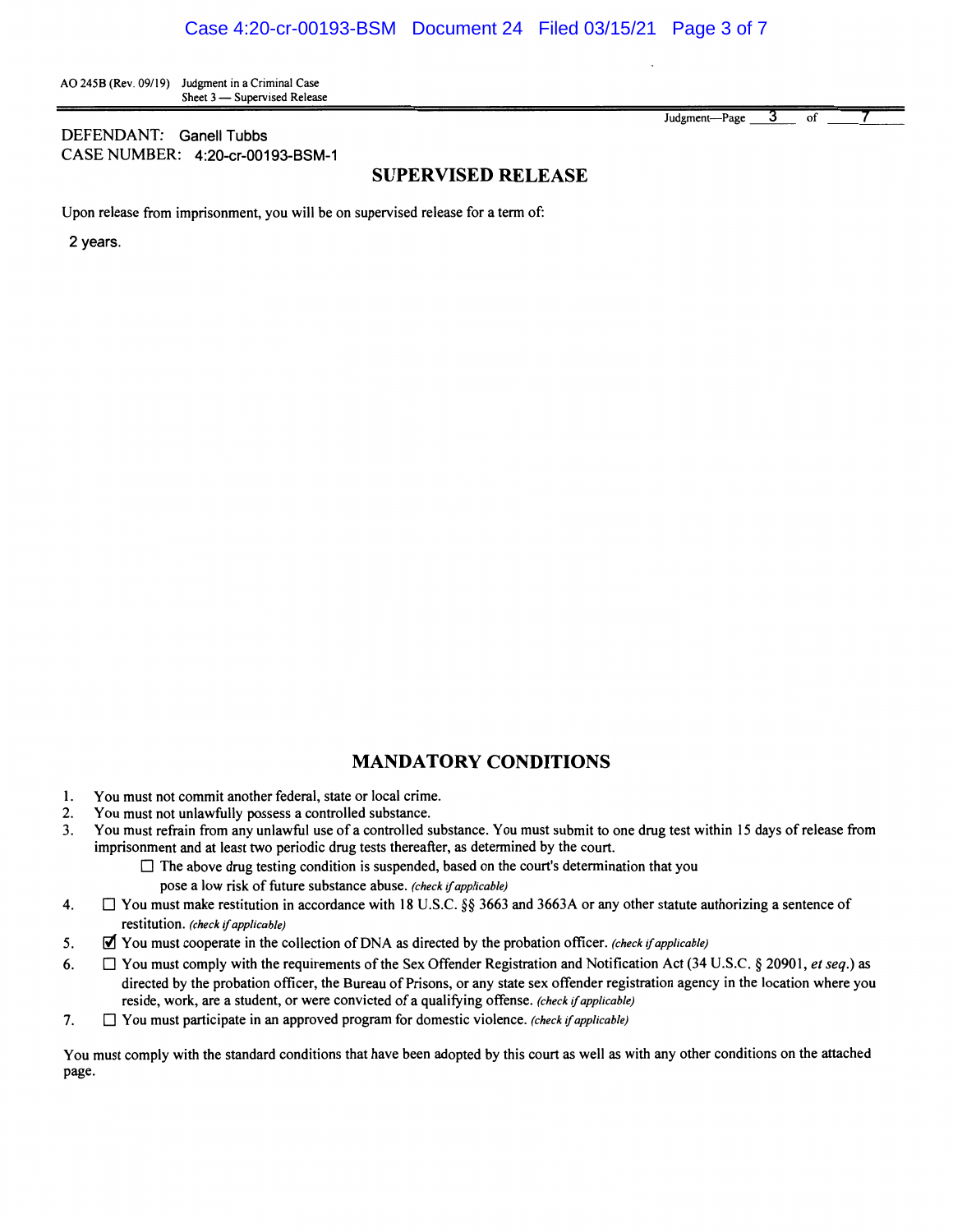AO 2458 (Rev. 09/19) Judgment in a Criminal Case Sheet 3 - Supervised Release

#### DEFENDANT: Ganell Tubbs CASE NUMBER: 4:20-cr-00193-BSM-1

Judgment-Page 3 of

### **SUPERVISED RELEASE**

Upon release from imprisonment, you will be on supervised release for a term of:

2 years.

#### **MANDATORY CONDITIONS**

- 1. You must not commit another federal, state or local crime.
- 2. You must not unlawfully possess a controlled substance.
- 3. You must refrain from any unlawful use of a controlled substance. You must submit to one drug test within 15 days of release from imprisonment and at least two periodic drug tests thereafter, as determined by the court.
	- $\Box$  The above drug testing condition is suspended, based on the court's determination that you pose a low risk of future substance abuse. *(check* if *applicable)*
- 4.  $\Box$  You must make restitution in accordance with 18 U.S.C. §§ 3663 and 3663A or any other statute authorizing a sentence of restitution. *(check* if *applicable)*
- 5. ~ You must cooperate in the collection of DNA as directed by the probation officer. *(check* if *applicable)*
- 6. D You must comply with the requirements of the Sex Offender Registration and Notification Act (34 U.S.C. § 20901, *et seq.)* as directed by the probation officer, the Bureau of Prisons, or any state sex offender registration agency in the location where you reside, work, are a student, or were convicted of a qualifying offense. *(check* if *applicable)*
- 7. D You must participate in an approved program for domestic violence. *(check* if *applicable)*

You must comply with the standard conditions that have been adopted by this court as well as with any other conditions on the attached page.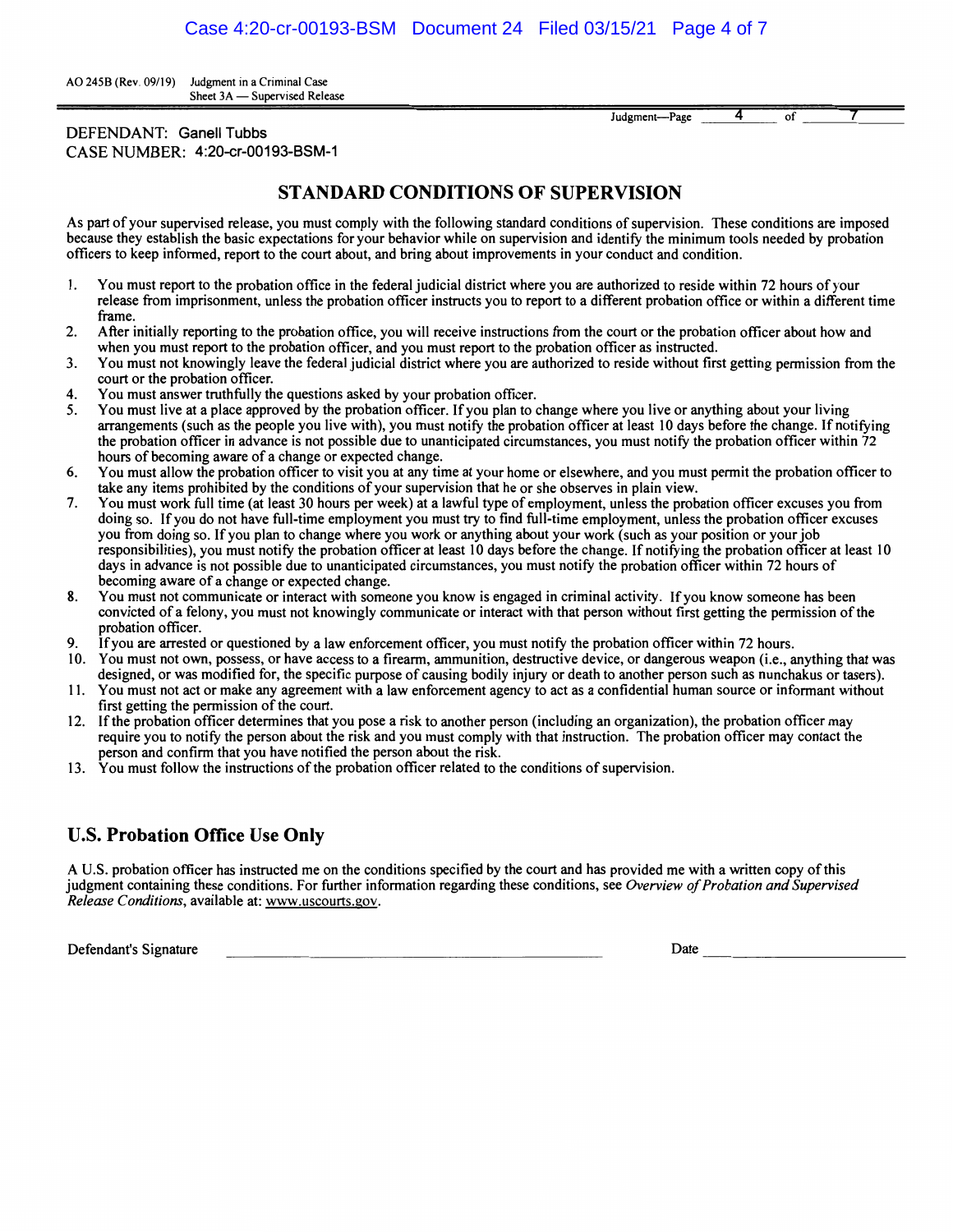AO 245B (Rev. 09/19) Judgment in a Criminal Case Sheet 3A - Supervised Release

| Judgment-Page |  |  |
|---------------|--|--|
|               |  |  |

DEFENDANT: Ganell Tubbs CASE NUMBER: 4:20-cr-00193-BSM-1

## **STANDARD CONDITIONS OF SUPERVISION**

As part of your supervised release, you must comply with the following standard conditions of supervision. These conditions are imposed because they establish the basic expectations for your behavior while on supervision and identify the minimum tools needed by probation officers to keep informed, report to the court about, and bring about improvements in your conduct and condition.

- I. You must report to the probation office in the federal judicial district where you are authorized to reside within 72 hours of your release from imprisonment, unless the probation officer instructs you to report to a different probation office or within a different time frame.
- 2. After initially reporting to the probation office, you will receive instructions from the court or the probation officer about how and when you must report to the probation officer, and you must report to the probation officer as instructed.
- 3. You must not knowingly leave the federal judicial district where you are authorized to reside without first getting permission from the court or the probation officer.
- 4. You must answer truthfully the questions asked by your probation officer.
- 5. You must live at a place approved by the probation officer. If you plan to change where you live or anything about your living arrangements (such as the people you live with), you must notify the probation officer at least 10 days before the change. If notifying the probation officer in advance is not possible due to unanticipated circumstances, you must notify the probation officer within 72 hours of becoming aware of a change or expected change.
- 6. You must allow the probation officer to visit you at any time at your home or elsewhere, and you must permit the probation officer to take any items prohibited by the conditions of your supervision that he or she observes in plain view.
- 7. You must work full time (at least 30 hours per week) at a lawful type of employment, unless the probation officer excuses you from doing so. If you do not have full-time employment you must try to find full-time employment, unless the probation officer excuses you from doing so. If you plan to change where you work or anything about your work (such as your position or your job responsibilities), you must notify the probation officer at least IO days before the change. If notifying the probation officer at least 10 days in advance is not possible due to unanticipated circumstances, you must notify the probation officer within 72 hours of becoming aware of a change or expected change.
- 8. You must not communicate or interact with someone you know is engaged in criminal activity. If you know someone has been convicted of a felony, you must not knowingly communicate or interact with that person without first getting the permission of the probation officer.
- 9. If you are arrested or questioned by a law enforcement officer, you must notify the probation officer within 72 hours.
- l 0. You must not own, possess, or have access to a firearm, ammunition, destructive device, or dangerous weapon (i.e., anything that was designed, or was modified for, the specific purpose of causing bodily injury or death to another person such as nunchakus or tasers). 11. You must not act or make any agreement with a law enforcement agency to act as a confidential human source or informant without
- first getting the permission of the court.
- 12. If the probation officer determines that you pose a risk to another person (including an organization), the probation officer may require you to notify the person about the risk and you must comply with that instruction. The probation officer may contact the person and confirm that you have notified the person about the risk.
- 13. You must follow the instructions of the probation officer related to the conditions of supervision.

### **U.S. Probation Office Use Only**

A U.S. probation officer has instructed me on the conditions specified by the court and has provided me with a written copy of this judgment containing these conditions. For further information regarding these conditions, see *Overview of Probation and Supervised Release Conditions,* available at: www.uscourts.gov.

Defendant's Signature Defendant's Signature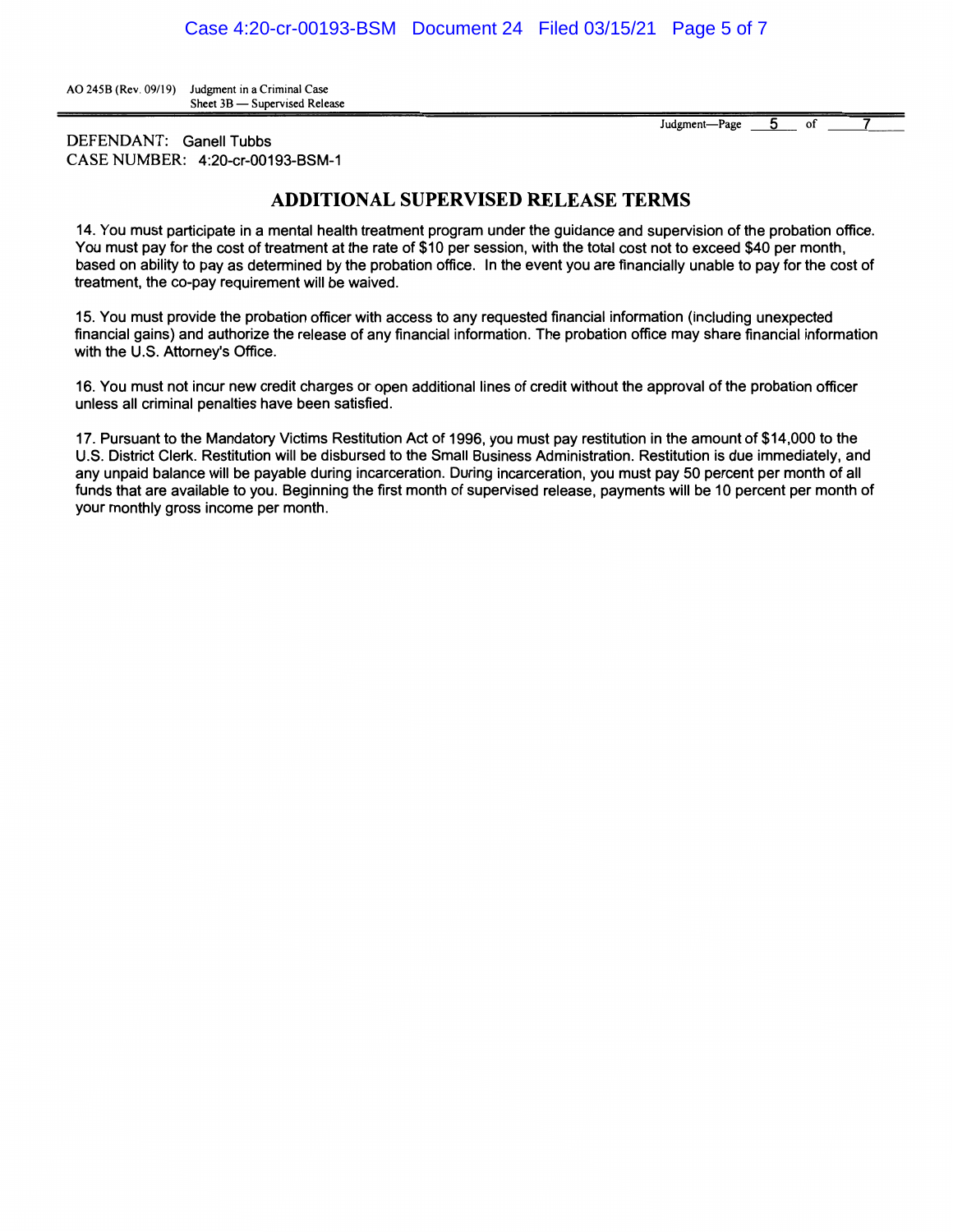AO 245B (Rev. 09/19) Judgment in a Criminal Case Sheet 3B - Supervised Release

> Judgment-Page 5 of 7

DEFENDANT: Ganell Tubbs CASE NUMBER: 4:20-cr-00193-BSM-1

## **ADDITIONAL SUPERVISED RELEASE TERMS**

14. You must participate in a mental health treatment program under the guidance and supervision of the probation office. You must pay for the cost of treatment at the rate of \$10 per session, with the total cost not to exceed \$40 per month, based on ability to pay as determined by the probation office. In the event you are financially unable to pay for the cost of treatment, the co-pay requirement will be waived.

15. You must provide the probation officer with access to any requested financial information (including unexpected financial gains) and authorize the release of any financial information. The probation office may share financial information with the U.S. Attorney's Office.

16. You must not incur new credit charges or open additional lines of credit without the approval of the probation officer unless all criminal penalties have been satisfied.

17. Pursuant to the Mandatory Victims Restitution Act of 1996, you must pay restitution in the amount of \$14,000 to the U.S. District Clerk. Restitution will be disbursed to the Small Business Administration. Restitution is due immediately, and any unpaid balance will be payable during incarceration. During incarceration, you must pay 50 percent per month of all funds that are available to you. Beginning the first month of supervised release, payments will be 10 percent per month of your monthly gross income per month.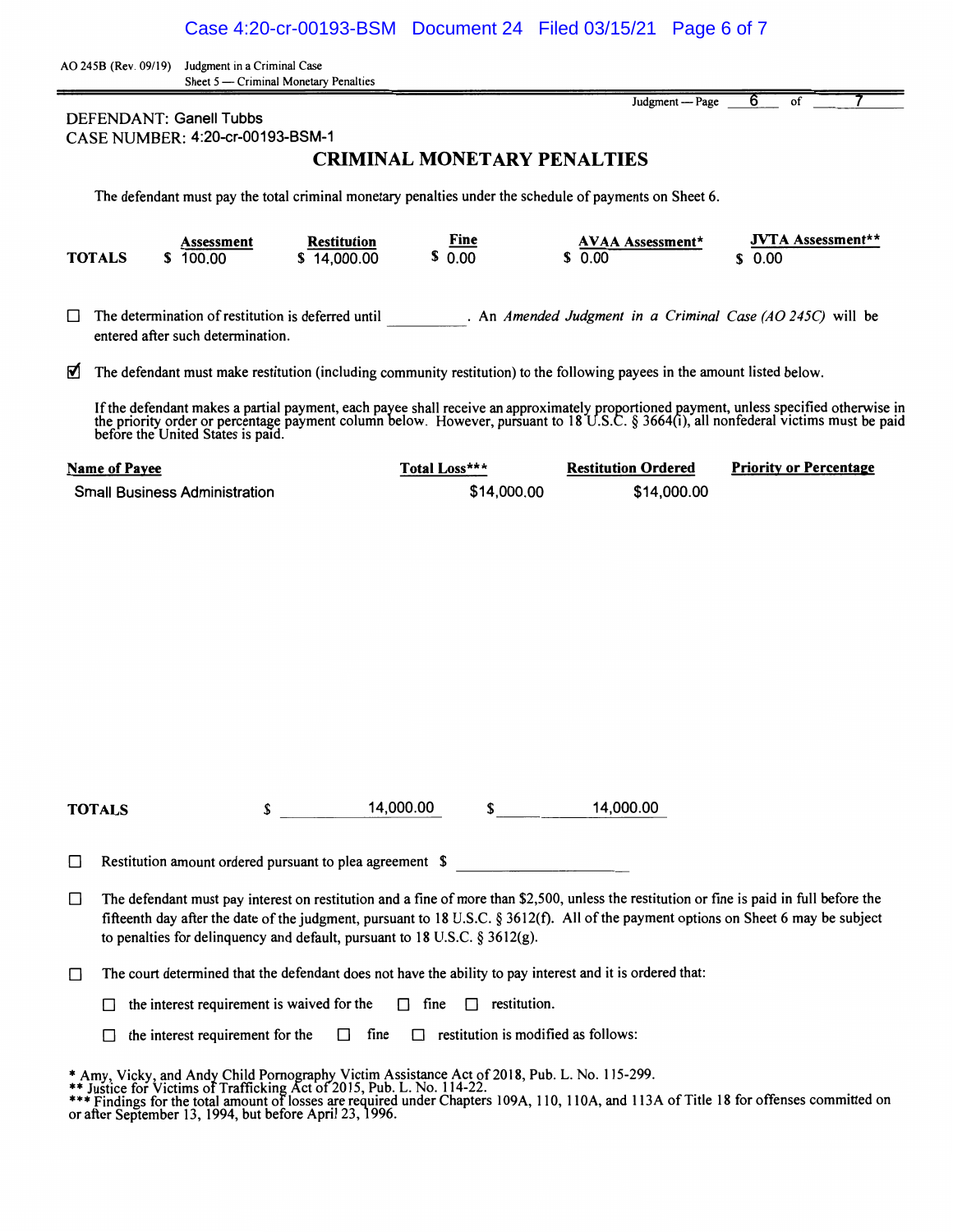AO 245B (Rev. 09/19) Judgment in a Criminal Case Sheet 5 - Criminal Monetary Penalties

DEFENDANT: Ganell Tubbs CASE NUMBER: 4:20-cr-00193-BSM-1

# **CRIMINAL MONETARY PENALTIES**

Judgment- Page 6

of  $\overline{\phantom{0}}$  7

The defendant must pay the total criminal monetary penalties under the schedule of payments on Sheet 6.

| <b>JVTA</b> Assessment**<br>Fine<br><b>AVAA Assessment*</b><br><b>Restitution</b><br>Assessment<br>0.00<br>\$0.00<br>\$0.00<br>\$14,000.00<br>100.00<br><b>TOTALS</b> |  |
|-----------------------------------------------------------------------------------------------------------------------------------------------------------------------|--|
|-----------------------------------------------------------------------------------------------------------------------------------------------------------------------|--|

 $\Box$  The determination of restitution is deferred until . An *Amended Judgment in a Criminal Case (AO 245C)* will be entered after such determination.

 $\blacksquare$  The defendant must make restitution (including community restitution) to the following payees in the amount listed below.

If the defendant makes a partial payment, each payee shall receive an approximately proportioned payment, unless specified otherwise in the priority order or percentage payment column below. However, pursuant to 18 U.S.C. § 3664(i), all nonfederal victims must be paid before the United States is paid.

| Name of Payee                        | Total Loss*** | <b>Restitution Ordered</b> | <b>Priority or Percentage</b> |
|--------------------------------------|---------------|----------------------------|-------------------------------|
| <b>Small Business Administration</b> | \$14,000.00   | \$14,000.00                |                               |

**TOTALS** \$ 14,000.00 \$ 14,000.00

 $\Box$  Restitution amount ordered pursuant to plea agreement \$

- $\Box$  The defendant must pay interest on restitution and a fine of more than \$2,500, unless the restitution or fine is paid in full before the fifteenth day after the date of the judgment, pursuant to 18 U.S.C. § 3612(f). All of the payment options on Sheet 6 may be subject to penalties for delinquency and default, pursuant to 18 U.S.C. § 3612(g).
- $\Box$  The court determined that the defendant does not have the ability to pay interest and it is ordered that:

 $\Box$  the interest requirement is waived for the  $\Box$  fine  $\Box$  restitution.

 $\Box$  the interest requirement for the  $\Box$  fine  $\Box$  restitution is modified as follows:

<sup>\*</sup> Amy, Vicky, and Andy Child Pornography Victim Assistance Act of 2018, Pub. L. No. 115-299.<br>\*\* Justice for Victims of Trafficking Act of 2015, Pub. L. No. 114-22.<br>\*\*\* Findings for the total amount of losses are required u